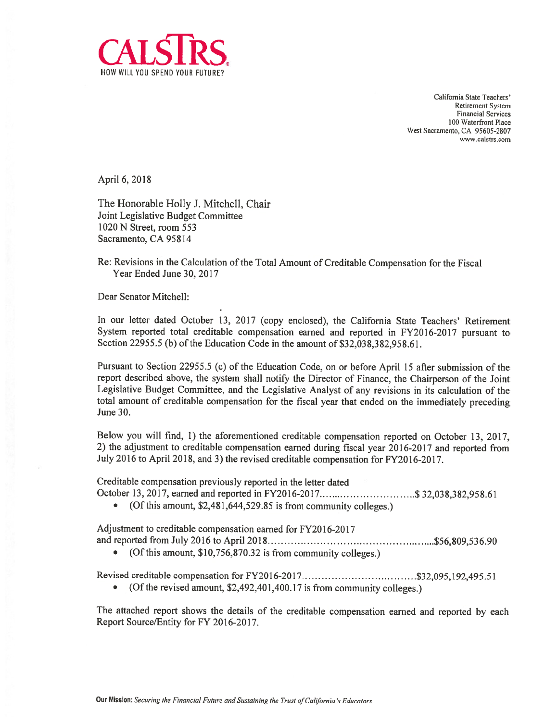

California State Teachers' Retirement System Financial Services 100 Waterfront Place West Sacramento, CA 95605-2807 www.calstrs.com

April 6, 2018

The Honorable Holly I. Mitchell, Chair Joint Legislative Budget Committee 1020 N Street, room 553 Sacramento, CA 95814

Re: Revisions in the Calculation of the Total Amount of Creditable Compensation for the fiscal Year Ended June 30, 2017

Dear Senator Mitchell:

In our letter dated October 13, 2017 (copy enclosed), the California State Teachers' Retirement System reported total creditable compensation earned and reported in FY2016-2017 pursuan<sup>t</sup> to Section 22955.5 (b) of the Education Code in the amount of \$32,038,382,958.61.

Pursuant to Section 22955.5(c) of the Education Code, on or before April <sup>15</sup> after submission of the repor<sup>t</sup> described above, the system shall notify the Director of finance, the Chairperson of the Joint Legislative Budget Committee, and the Legislative Analyst of any revisions in its calculation of the total amount of creditable compensation for the fiscal year that ended on the immediately preceding June 30.

Below you will find, 1) the aforementioned creditable compensation reported on October 13, 2017, 2) the adjustment to creditable compensation earned during fiscal year 2016-2017 and reported from July <sup>2016</sup> to April 2018, and 3) the revised creditable compensation for FY2016-2017.

Creditable compensation previously reported in the letter dated

- October 13, 2017, earned and reported in FY2016-2017.............................\$ 32,038,382,958.61
	- (Of this amount, \$2,481,644,529.85 is from community colleges.)

Adjustment to creditable compensation earned for FY2016-2017 and reported from July <sup>2016</sup> to April <sup>2018</sup> \$56,809,536.90

• (Of this amount, \$10,756,870.32 is from community colleges.)

Revised creditable compensation for FY2016-2017 \$32,095,192,495.51

• (Of the revised amount, \$2,492,401,400.17 is from community colleges.)

The attached repor<sup>t</sup> shows the details of the creditable compensation earned and reported by each Report Source/Entity for FY 2016-2017.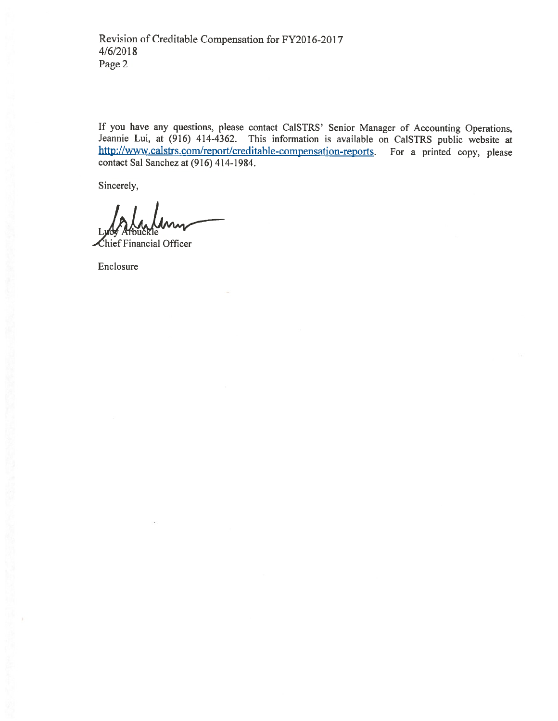If you have any questions, <sup>p</sup>lease contact CaISTRS' Senior Manager of Accounting Operations, Jeannie Lui, at (916) 414-4362. This information is available on CaISTRS public website at http://www.calstrs.com/report/creditable-compensation-reports. For a printed copy, please contact Sal Sanchez at (916) 414-1984.

Sincerely,

hief Financial Officer

Enclosure